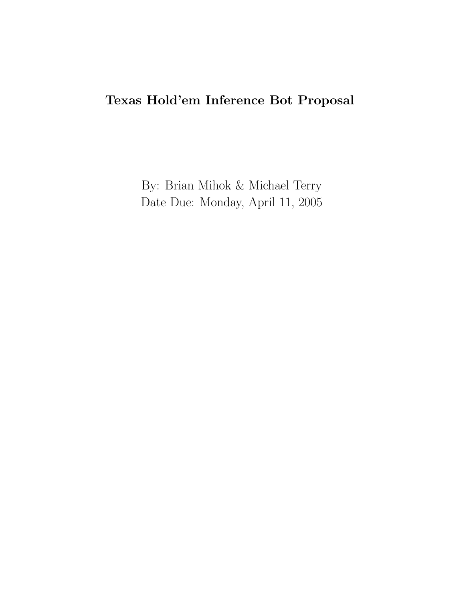# Texas Hold'em Inference Bot Proposal

By: Brian Mihok & Michael Terry Date Due: Monday, April 11, 2005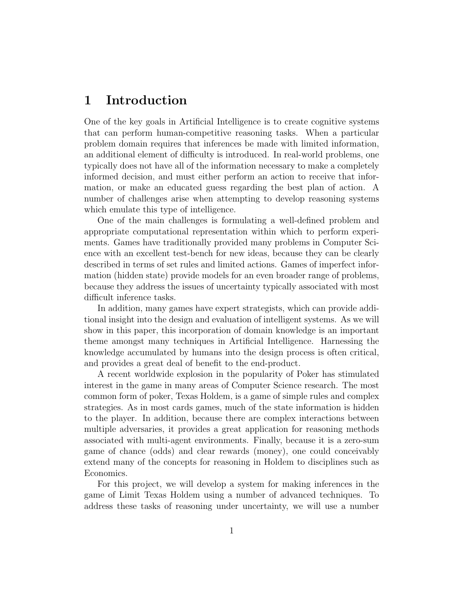# 1 Introduction

One of the key goals in Artificial Intelligence is to create cognitive systems that can perform human-competitive reasoning tasks. When a particular problem domain requires that inferences be made with limited information, an additional element of difficulty is introduced. In real-world problems, one typically does not have all of the information necessary to make a completely informed decision, and must either perform an action to receive that information, or make an educated guess regarding the best plan of action. A number of challenges arise when attempting to develop reasoning systems which emulate this type of intelligence.

One of the main challenges is formulating a well-defined problem and appropriate computational representation within which to perform experiments. Games have traditionally provided many problems in Computer Science with an excellent test-bench for new ideas, because they can be clearly described in terms of set rules and limited actions. Games of imperfect information (hidden state) provide models for an even broader range of problems, because they address the issues of uncertainty typically associated with most difficult inference tasks.

In addition, many games have expert strategists, which can provide additional insight into the design and evaluation of intelligent systems. As we will show in this paper, this incorporation of domain knowledge is an important theme amongst many techniques in Artificial Intelligence. Harnessing the knowledge accumulated by humans into the design process is often critical, and provides a great deal of benefit to the end-product.

A recent worldwide explosion in the popularity of Poker has stimulated interest in the game in many areas of Computer Science research. The most common form of poker, Texas Holdem, is a game of simple rules and complex strategies. As in most cards games, much of the state information is hidden to the player. In addition, because there are complex interactions between multiple adversaries, it provides a great application for reasoning methods associated with multi-agent environments. Finally, because it is a zero-sum game of chance (odds) and clear rewards (money), one could conceivably extend many of the concepts for reasoning in Holdem to disciplines such as Economics.

For this project, we will develop a system for making inferences in the game of Limit Texas Holdem using a number of advanced techniques. To address these tasks of reasoning under uncertainty, we will use a number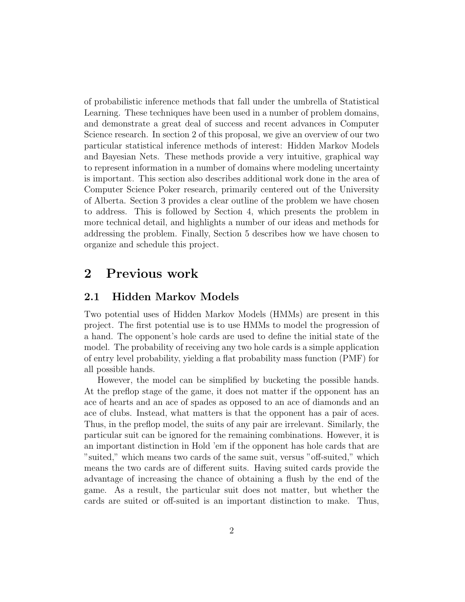of probabilistic inference methods that fall under the umbrella of Statistical Learning. These techniques have been used in a number of problem domains, and demonstrate a great deal of success and recent advances in Computer Science research. In section 2 of this proposal, we give an overview of our two particular statistical inference methods of interest: Hidden Markov Models and Bayesian Nets. These methods provide a very intuitive, graphical way to represent information in a number of domains where modeling uncertainty is important. This section also describes additional work done in the area of Computer Science Poker research, primarily centered out of the University of Alberta. Section 3 provides a clear outline of the problem we have chosen to address. This is followed by Section 4, which presents the problem in more technical detail, and highlights a number of our ideas and methods for addressing the problem. Finally, Section 5 describes how we have chosen to organize and schedule this project.

## 2 Previous work

### 2.1 Hidden Markov Models

Two potential uses of Hidden Markov Models (HMMs) are present in this project. The first potential use is to use HMMs to model the progression of a hand. The opponent's hole cards are used to define the initial state of the model. The probability of receiving any two hole cards is a simple application of entry level probability, yielding a flat probability mass function (PMF) for all possible hands.

However, the model can be simplified by bucketing the possible hands. At the preflop stage of the game, it does not matter if the opponent has an ace of hearts and an ace of spades as opposed to an ace of diamonds and an ace of clubs. Instead, what matters is that the opponent has a pair of aces. Thus, in the preflop model, the suits of any pair are irrelevant. Similarly, the particular suit can be ignored for the remaining combinations. However, it is an important distinction in Hold 'em if the opponent has hole cards that are "suited," which means two cards of the same suit, versus "off-suited," which means the two cards are of different suits. Having suited cards provide the advantage of increasing the chance of obtaining a flush by the end of the game. As a result, the particular suit does not matter, but whether the cards are suited or off-suited is an important distinction to make. Thus,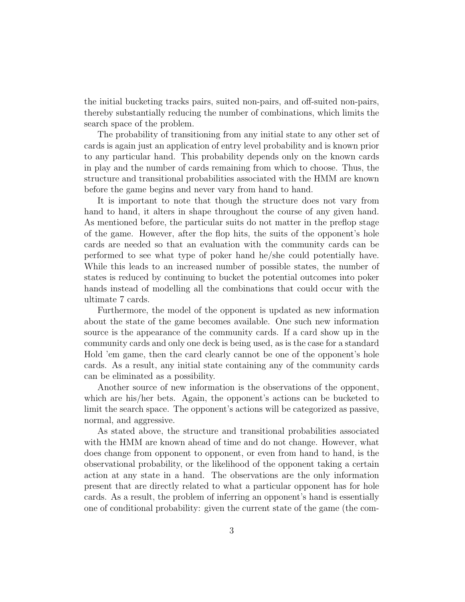the initial bucketing tracks pairs, suited non-pairs, and off-suited non-pairs, thereby substantially reducing the number of combinations, which limits the search space of the problem.

The probability of transitioning from any initial state to any other set of cards is again just an application of entry level probability and is known prior to any particular hand. This probability depends only on the known cards in play and the number of cards remaining from which to choose. Thus, the structure and transitional probabilities associated with the HMM are known before the game begins and never vary from hand to hand.

It is important to note that though the structure does not vary from hand to hand, it alters in shape throughout the course of any given hand. As mentioned before, the particular suits do not matter in the preflop stage of the game. However, after the flop hits, the suits of the opponent's hole cards are needed so that an evaluation with the community cards can be performed to see what type of poker hand he/she could potentially have. While this leads to an increased number of possible states, the number of states is reduced by continuing to bucket the potential outcomes into poker hands instead of modelling all the combinations that could occur with the ultimate 7 cards.

Furthermore, the model of the opponent is updated as new information about the state of the game becomes available. One such new information source is the appearance of the community cards. If a card show up in the community cards and only one deck is being used, as is the case for a standard Hold 'em game, then the card clearly cannot be one of the opponent's hole cards. As a result, any initial state containing any of the community cards can be eliminated as a possibility.

Another source of new information is the observations of the opponent, which are his/her bets. Again, the opponent's actions can be bucketed to limit the search space. The opponent's actions will be categorized as passive, normal, and aggressive.

As stated above, the structure and transitional probabilities associated with the HMM are known ahead of time and do not change. However, what does change from opponent to opponent, or even from hand to hand, is the observational probability, or the likelihood of the opponent taking a certain action at any state in a hand. The observations are the only information present that are directly related to what a particular opponent has for hole cards. As a result, the problem of inferring an opponent's hand is essentially one of conditional probability: given the current state of the game (the com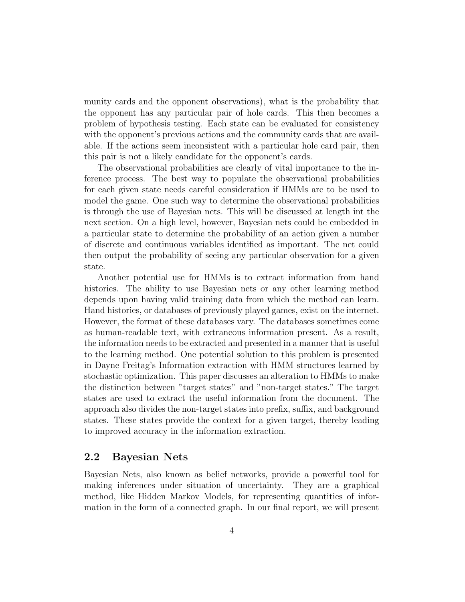munity cards and the opponent observations), what is the probability that the opponent has any particular pair of hole cards. This then becomes a problem of hypothesis testing. Each state can be evaluated for consistency with the opponent's previous actions and the community cards that are available. If the actions seem inconsistent with a particular hole card pair, then this pair is not a likely candidate for the opponent's cards.

The observational probabilities are clearly of vital importance to the inference process. The best way to populate the observational probabilities for each given state needs careful consideration if HMMs are to be used to model the game. One such way to determine the observational probabilities is through the use of Bayesian nets. This will be discussed at length int the next section. On a high level, however, Bayesian nets could be embedded in a particular state to determine the probability of an action given a number of discrete and continuous variables identified as important. The net could then output the probability of seeing any particular observation for a given state.

Another potential use for HMMs is to extract information from hand histories. The ability to use Bayesian nets or any other learning method depends upon having valid training data from which the method can learn. Hand histories, or databases of previously played games, exist on the internet. However, the format of these databases vary. The databases sometimes come as human-readable text, with extraneous information present. As a result, the information needs to be extracted and presented in a manner that is useful to the learning method. One potential solution to this problem is presented in Dayne Freitag's Information extraction with HMM structures learned by stochastic optimization. This paper discusses an alteration to HMMs to make the distinction between "target states" and "non-target states." The target states are used to extract the useful information from the document. The approach also divides the non-target states into prefix, suffix, and background states. These states provide the context for a given target, thereby leading to improved accuracy in the information extraction.

### 2.2 Bayesian Nets

Bayesian Nets, also known as belief networks, provide a powerful tool for making inferences under situation of uncertainty. They are a graphical method, like Hidden Markov Models, for representing quantities of information in the form of a connected graph. In our final report, we will present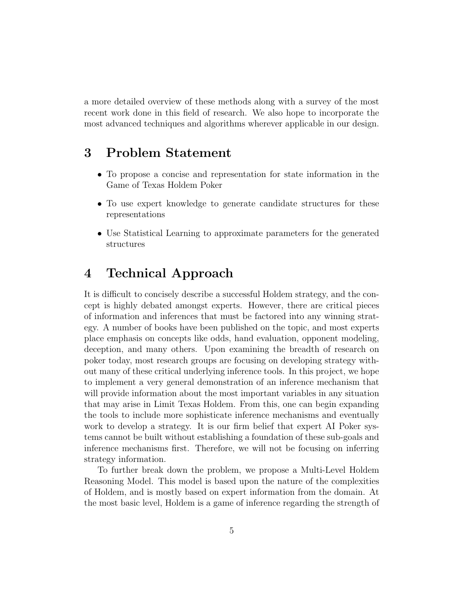a more detailed overview of these methods along with a survey of the most recent work done in this field of research. We also hope to incorporate the most advanced techniques and algorithms wherever applicable in our design.

# 3 Problem Statement

- To propose a concise and representation for state information in the Game of Texas Holdem Poker
- To use expert knowledge to generate candidate structures for these representations
- Use Statistical Learning to approximate parameters for the generated structures

# 4 Technical Approach

It is difficult to concisely describe a successful Holdem strategy, and the concept is highly debated amongst experts. However, there are critical pieces of information and inferences that must be factored into any winning strategy. A number of books have been published on the topic, and most experts place emphasis on concepts like odds, hand evaluation, opponent modeling, deception, and many others. Upon examining the breadth of research on poker today, most research groups are focusing on developing strategy without many of these critical underlying inference tools. In this project, we hope to implement a very general demonstration of an inference mechanism that will provide information about the most important variables in any situation that may arise in Limit Texas Holdem. From this, one can begin expanding the tools to include more sophisticate inference mechanisms and eventually work to develop a strategy. It is our firm belief that expert AI Poker systems cannot be built without establishing a foundation of these sub-goals and inference mechanisms first. Therefore, we will not be focusing on inferring strategy information.

To further break down the problem, we propose a Multi-Level Holdem Reasoning Model. This model is based upon the nature of the complexities of Holdem, and is mostly based on expert information from the domain. At the most basic level, Holdem is a game of inference regarding the strength of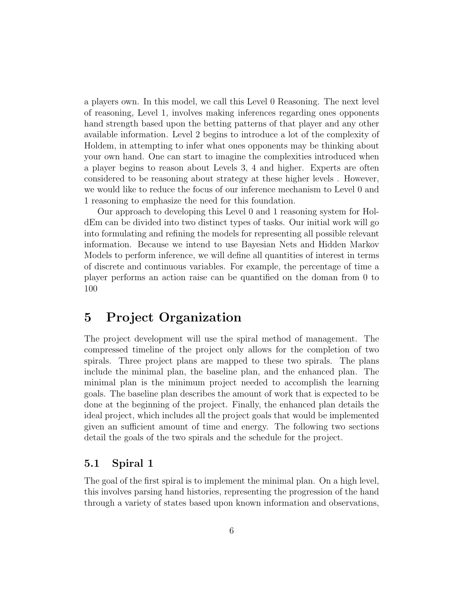a players own. In this model, we call this Level 0 Reasoning. The next level of reasoning, Level 1, involves making inferences regarding ones opponents hand strength based upon the betting patterns of that player and any other available information. Level 2 begins to introduce a lot of the complexity of Holdem, in attempting to infer what ones opponents may be thinking about your own hand. One can start to imagine the complexities introduced when a player begins to reason about Levels 3, 4 and higher. Experts are often considered to be reasoning about strategy at these higher levels . However, we would like to reduce the focus of our inference mechanism to Level 0 and 1 reasoning to emphasize the need for this foundation.

Our approach to developing this Level 0 and 1 reasoning system for HoldEm can be divided into two distinct types of tasks. Our initial work will go into formulating and refining the models for representing all possible relevant information. Because we intend to use Bayesian Nets and Hidden Markov Models to perform inference, we will define all quantities of interest in terms of discrete and continuous variables. For example, the percentage of time a player performs an action raise can be quantified on the doman from 0 to 100

## 5 Project Organization

The project development will use the spiral method of management. The compressed timeline of the project only allows for the completion of two spirals. Three project plans are mapped to these two spirals. The plans include the minimal plan, the baseline plan, and the enhanced plan. The minimal plan is the minimum project needed to accomplish the learning goals. The baseline plan describes the amount of work that is expected to be done at the beginning of the project. Finally, the enhanced plan details the ideal project, which includes all the project goals that would be implemented given an sufficient amount of time and energy. The following two sections detail the goals of the two spirals and the schedule for the project.

### 5.1 Spiral 1

The goal of the first spiral is to implement the minimal plan. On a high level, this involves parsing hand histories, representing the progression of the hand through a variety of states based upon known information and observations,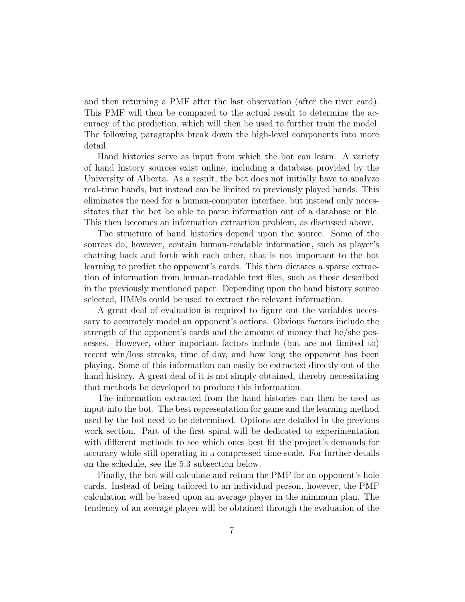and then returning a PMF after the last observation (after the river card). This PMF will then be compared to the actual result to determine the accuracy of the prediction, which will then be used to further train the model. The following paragraphs break down the high-level components into more detail.

Hand histories serve as input from which the bot can learn. A variety of hand history sources exist online, including a database provided by the University of Alberta. As a result, the bot does not initially have to analyze real-time hands, but instead can be limited to previously played hands. This eliminates the need for a human-computer interface, but instead only necessitates that the bot be able to parse information out of a database or file. This then becomes an information extraction problem, as discussed above.

The structure of hand histories depend upon the source. Some of the sources do, however, contain human-readable information, such as player's chatting back and forth with each other, that is not important to the bot learning to predict the opponent's cards. This then dictates a sparse extraction of information from human-readable text files, such as those described in the previously mentioned paper. Depending upon the hand history source selected, HMMs could be used to extract the relevant information.

A great deal of evaluation is required to figure out the variables necessary to accurately model an opponent's actions. Obvious factors include the strength of the opponent's cards and the amount of money that he/she possesses. However, other important factors include (but are not limited to) recent win/loss streaks, time of day, and how long the opponent has been playing. Some of this information can easily be extracted directly out of the hand history. A great deal of it is not simply obtained, thereby necessitating that methods be developed to produce this information.

The information extracted from the hand histories can then be used as input into the bot. The best representation for game and the learning method used by the bot need to be determined. Options are detailed in the previous work section. Part of the first spiral will be dedicated to experimentation with different methods to see which ones best fit the project's demands for accuracy while still operating in a compressed time-scale. For further details on the schedule, see the 5.3 subsection below.

Finally, the bot will calculate and return the PMF for an opponent's hole cards. Instead of being tailored to an individual person, however, the PMF calculation will be based upon an average player in the minimum plan. The tendency of an average player will be obtained through the evaluation of the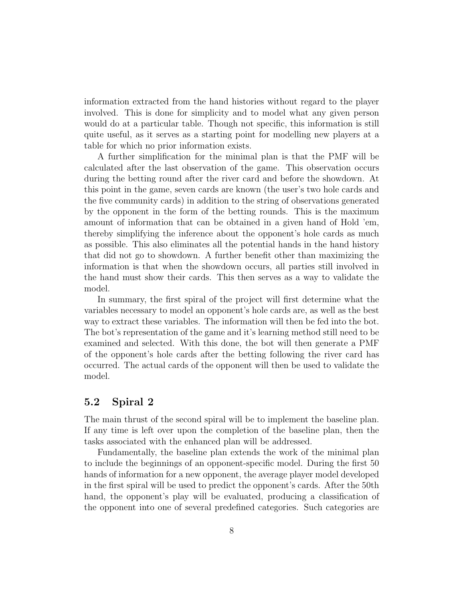information extracted from the hand histories without regard to the player involved. This is done for simplicity and to model what any given person would do at a particular table. Though not specific, this information is still quite useful, as it serves as a starting point for modelling new players at a table for which no prior information exists.

A further simplification for the minimal plan is that the PMF will be calculated after the last observation of the game. This observation occurs during the betting round after the river card and before the showdown. At this point in the game, seven cards are known (the user's two hole cards and the five community cards) in addition to the string of observations generated by the opponent in the form of the betting rounds. This is the maximum amount of information that can be obtained in a given hand of Hold 'em, thereby simplifying the inference about the opponent's hole cards as much as possible. This also eliminates all the potential hands in the hand history that did not go to showdown. A further benefit other than maximizing the information is that when the showdown occurs, all parties still involved in the hand must show their cards. This then serves as a way to validate the model.

In summary, the first spiral of the project will first determine what the variables necessary to model an opponent's hole cards are, as well as the best way to extract these variables. The information will then be fed into the bot. The bot's representation of the game and it's learning method still need to be examined and selected. With this done, the bot will then generate a PMF of the opponent's hole cards after the betting following the river card has occurred. The actual cards of the opponent will then be used to validate the model.

### 5.2 Spiral 2

The main thrust of the second spiral will be to implement the baseline plan. If any time is left over upon the completion of the baseline plan, then the tasks associated with the enhanced plan will be addressed.

Fundamentally, the baseline plan extends the work of the minimal plan to include the beginnings of an opponent-specific model. During the first 50 hands of information for a new opponent, the average player model developed in the first spiral will be used to predict the opponent's cards. After the 50th hand, the opponent's play will be evaluated, producing a classification of the opponent into one of several predefined categories. Such categories are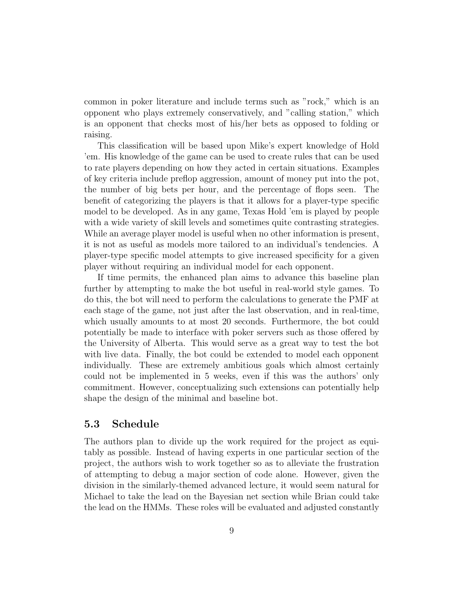common in poker literature and include terms such as "rock," which is an opponent who plays extremely conservatively, and "calling station," which is an opponent that checks most of his/her bets as opposed to folding or raising.

This classification will be based upon Mike's expert knowledge of Hold 'em. His knowledge of the game can be used to create rules that can be used to rate players depending on how they acted in certain situations. Examples of key criteria include preflop aggression, amount of money put into the pot, the number of big bets per hour, and the percentage of flops seen. The benefit of categorizing the players is that it allows for a player-type specific model to be developed. As in any game, Texas Hold 'em is played by people with a wide variety of skill levels and sometimes quite contrasting strategies. While an average player model is useful when no other information is present, it is not as useful as models more tailored to an individual's tendencies. A player-type specific model attempts to give increased specificity for a given player without requiring an individual model for each opponent.

If time permits, the enhanced plan aims to advance this baseline plan further by attempting to make the bot useful in real-world style games. To do this, the bot will need to perform the calculations to generate the PMF at each stage of the game, not just after the last observation, and in real-time, which usually amounts to at most 20 seconds. Furthermore, the bot could potentially be made to interface with poker servers such as those offered by the University of Alberta. This would serve as a great way to test the bot with live data. Finally, the bot could be extended to model each opponent individually. These are extremely ambitious goals which almost certainly could not be implemented in 5 weeks, even if this was the authors' only commitment. However, conceptualizing such extensions can potentially help shape the design of the minimal and baseline bot.

### 5.3 Schedule

The authors plan to divide up the work required for the project as equitably as possible. Instead of having experts in one particular section of the project, the authors wish to work together so as to alleviate the frustration of attempting to debug a major section of code alone. However, given the division in the similarly-themed advanced lecture, it would seem natural for Michael to take the lead on the Bayesian net section while Brian could take the lead on the HMMs. These roles will be evaluated and adjusted constantly